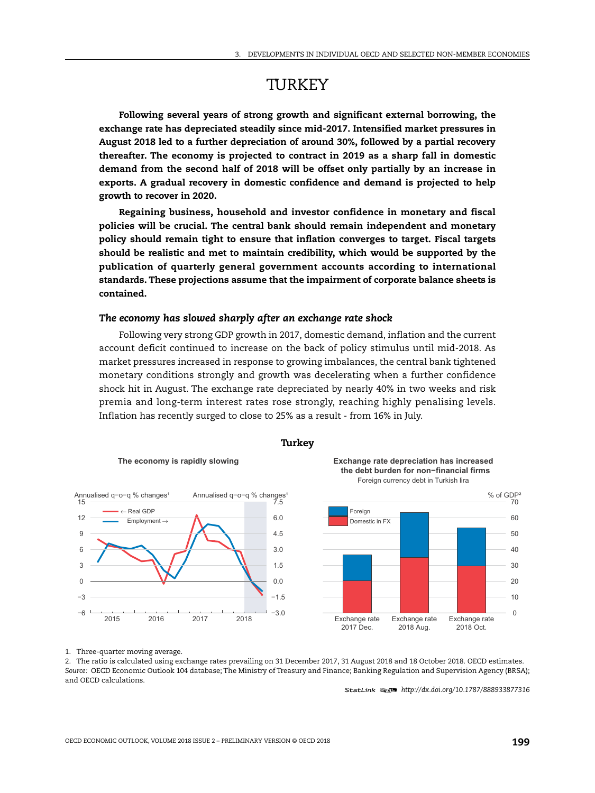# **TURKEY**

**Following several years of strong growth and significant external borrowing, the exchange rate has depreciated steadily since mid-2017. Intensified market pressures in August 2018 led to a further depreciation of around 30%, followed by a partial recovery thereafter. The economy is projected to contract in 2019 as a sharp fall in domestic demand from the second half of 2018 will be offset only partially by an increase in exports. A gradual recovery in domestic confidence and demand is projected to help growth to recover in 2020.**

**Regaining business, household and investor confidence in monetary and fiscal policies will be crucial. The central bank should remain independent and monetary policy should remain tight to ensure that inflation converges to target. Fiscal targets should be realistic and met to maintain credibility, which would be supported by the publication of quarterly general government accounts according to international standards. These projections assume that the impairment of corporate balance sheets is contained.**

#### *The economy has slowed sharply after an exchange rate shock*

Following very strong GDP growth in 2017, domestic demand, inflation and the current account deficit continued to increase on the back of policy stimulus until mid-2018. As market pressures increased in response to growing imbalances, the central bank tightened monetary conditions strongly and growth was decelerating when a further confidence shock hit in August. The exchange rate depreciated by nearly 40% in two weeks and risk premia and long-term interest rates rose strongly, reaching highly penalising levels. Inflation has recently surged to close to 25% as a result - from 16% in July.



#### **Turkey**

1. Three-quarter moving average.

2. The ratio is calculated using exchange rates prevailing on 31 December 2017, 31 August 2018 and 18 October 2018. OECD estimates. *Source:* OECD Economic Outlook 104 database; The Ministry of Treasury and Finance; Banking Regulation and Supervision Agency (BRSA); and OECD calculations.

1 2 *http://dx.doi.org/10.1787/888933877316*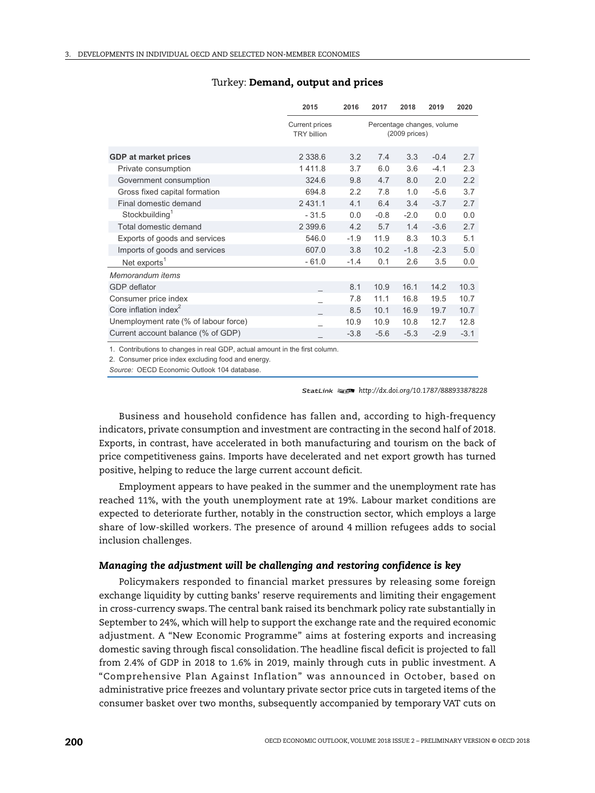|                                       | 2015                                        | 2016                                           | 2017   | 2018   | 2019   | 2020   |
|---------------------------------------|---------------------------------------------|------------------------------------------------|--------|--------|--------|--------|
|                                       | <b>Current prices</b><br><b>TRY billion</b> | Percentage changes, volume<br>$(2009)$ prices) |        |        |        |        |
| <b>GDP</b> at market prices           | 2 3 3 8 . 6                                 | 3.2                                            | 7.4    | 3.3    | $-0.4$ | 2.7    |
| Private consumption                   | 1411.8                                      | 3.7                                            | 6.0    | 3.6    | $-4.1$ | 2.3    |
| Government consumption                | 324.6                                       | 9.8                                            | 4.7    | 8.0    | 2.0    | 2.2    |
| Gross fixed capital formation         | 694.8                                       | 2.2                                            | 7.8    | 1.0    | $-5.6$ | 3.7    |
| Final domestic demand                 | 2 4 3 1 . 1                                 | 4.1                                            | 6.4    | 3.4    | $-3.7$ | 2.7    |
| Stockbuilding <sup>1</sup>            | $-31.5$                                     | 0.0                                            | $-0.8$ | $-2.0$ | 0.0    | 0.0    |
| Total domestic demand                 | 2 3 9 9.6                                   | 4.2                                            | 5.7    | 1.4    | $-3.6$ | 2.7    |
| Exports of goods and services         | 546.0                                       | $-1.9$                                         | 11.9   | 8.3    | 10.3   | 5.1    |
| Imports of goods and services         | 607.0                                       | 3.8                                            | 10.2   | $-1.8$ | $-2.3$ | 5.0    |
| Net exports <sup>1</sup>              | $-61.0$                                     | $-1.4$                                         | 0.1    | 2.6    | 3.5    | 0.0    |
| Memorandum items                      |                                             |                                                |        |        |        |        |
| <b>GDP</b> deflator                   |                                             | 8.1                                            | 10.9   | 16.1   | 14.2   | 10.3   |
| Consumer price index                  |                                             | 7.8                                            | 11.1   | 16.8   | 19.5   | 10.7   |
| Core inflation index $2$              |                                             | 8.5                                            | 10.1   | 16.9   | 19.7   | 10.7   |
| Unemployment rate (% of labour force) |                                             | 10.9                                           | 10.9   | 10.8   | 12.7   | 12.8   |
| Current account balance (% of GDP)    |                                             | $-3.8$                                         | $-5.6$ | $-5.3$ | $-2.9$ | $-3.1$ |

#### Turkey: **Demand, output and prices**

1. Contributions to changes in real GDP, actual amount in the first column.

2. Consumer price index excluding food and energy.

Source: OECD Economic Outlook 104 database.

1 2 *http://dx.doi.org/10.1787/888933878228*

Business and household confidence has fallen and, according to high-frequency indicators, private consumption and investment are contracting in the second half of 2018. Exports, in contrast, have accelerated in both manufacturing and tourism on the back of price competitiveness gains. Imports have decelerated and net export growth has turned positive, helping to reduce the large current account deficit.

Employment appears to have peaked in the summer and the unemployment rate has reached 11%, with the youth unemployment rate at 19%. Labour market conditions are expected to deteriorate further, notably in the construction sector, which employs a large share of low-skilled workers. The presence of around 4 million refugees adds to social inclusion challenges.

## *Managing the adjustment will be challenging and restoring confidence is key*

Policymakers responded to financial market pressures by releasing some foreign exchange liquidity by cutting banks' reserve requirements and limiting their engagement in cross-currency swaps. The central bank raised its benchmark policy rate substantially in September to 24%, which will help to support the exchange rate and the required economic adjustment. A "New Economic Programme" aims at fostering exports and increasing domestic saving through fiscal consolidation. The headline fiscal deficit is projected to fall from 2.4% of GDP in 2018 to 1.6% in 2019, mainly through cuts in public investment. A "Comprehensive Plan Against Inflation" was announced in October, based on administrative price freezes and voluntary private sector price cuts in targeted items of the consumer basket over two months, subsequently accompanied by temporary VAT cuts on